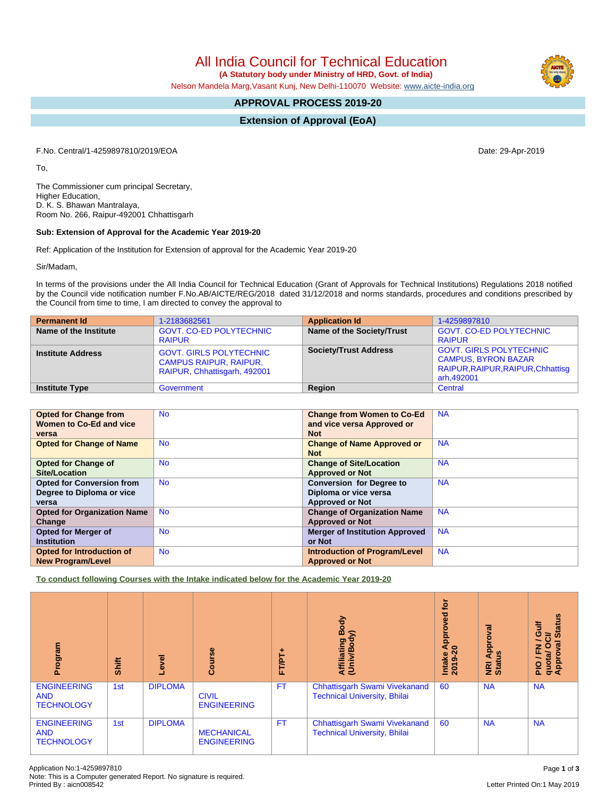All India Council for Technical Education

 **(A Statutory body under Ministry of HRD, Govt. of India)**

Nelson Mandela Marg,Vasant Kunj, New Delhi-110070 Website: [www.aicte-india.org](http://www.aicte-india.org)

# **APPROVAL PROCESS 2019-20**

**Extension of Approval (EoA)**

F.No. Central/1-4259897810/2019/EOA Date: 29-Apr-2019

To,

The Commissioner cum principal Secretary, Higher Education, D. K. S. Bhawan Mantralaya, Room No. 266, Raipur-492001 Chhattisgarh

## **Sub: Extension of Approval for the Academic Year 2019-20**

Ref: Application of the Institution for Extension of approval for the Academic Year 2019-20

Sir/Madam,

In terms of the provisions under the All India Council for Technical Education (Grant of Approvals for Technical Institutions) Regulations 2018 notified by the Council vide notification number F.No.AB/AICTE/REG/2018 dated 31/12/2018 and norms standards, procedures and conditions prescribed by the Council from time to time, I am directed to convey the approval to

| <b>Permanent Id</b>      | 1-2183682561                                                                                    | <b>Application Id</b>        | 1-4259897810                                                                                                    |
|--------------------------|-------------------------------------------------------------------------------------------------|------------------------------|-----------------------------------------------------------------------------------------------------------------|
| Name of the Institute    | <b>GOVT, CO-ED POLYTECHNIC</b><br><b>RAIPUR</b>                                                 | Name of the Society/Trust    | <b>GOVT. CO-ED POLYTECHNIC</b><br><b>RAIPUR</b>                                                                 |
| <b>Institute Address</b> | <b>GOVT. GIRLS POLYTECHNIC</b><br><b>CAMPUS RAIPUR, RAIPUR,</b><br>RAIPUR, Chhattisgarh, 492001 | <b>Society/Trust Address</b> | <b>GOVT. GIRLS POLYTECHNIC</b><br><b>CAMPUS, BYRON BAZAR</b><br>RAIPUR, RAIPUR, RAIPUR, Chhattisg<br>arh,492001 |
| <b>Institute Type</b>    | Government                                                                                      | Region                       | Central                                                                                                         |

| <b>Opted for Change from</b>       | <b>No</b> | <b>Change from Women to Co-Ed</b>     | <b>NA</b> |
|------------------------------------|-----------|---------------------------------------|-----------|
| Women to Co-Ed and vice            |           | and vice versa Approved or            |           |
| versa                              |           | <b>Not</b>                            |           |
| <b>Opted for Change of Name</b>    | <b>No</b> | <b>Change of Name Approved or</b>     | <b>NA</b> |
|                                    |           | <b>Not</b>                            |           |
| <b>Opted for Change of</b>         | <b>No</b> | <b>Change of Site/Location</b>        | <b>NA</b> |
| Site/Location                      |           | <b>Approved or Not</b>                |           |
| <b>Opted for Conversion from</b>   | <b>No</b> | <b>Conversion for Degree to</b>       | <b>NA</b> |
| Degree to Diploma or vice          |           | Diploma or vice versa                 |           |
| versa                              |           | <b>Approved or Not</b>                |           |
| <b>Opted for Organization Name</b> | <b>No</b> | <b>Change of Organization Name</b>    | <b>NA</b> |
| Change                             |           | <b>Approved or Not</b>                |           |
| <b>Opted for Merger of</b>         | <b>No</b> | <b>Merger of Institution Approved</b> | <b>NA</b> |
| <b>Institution</b>                 |           | or Not                                |           |
| Opted for Introduction of          | <b>No</b> | <b>Introduction of Program/Level</b>  | <b>NA</b> |
| <b>New Program/Level</b>           |           | <b>Approved or Not</b>                |           |

**To conduct following Courses with the Intake indicated below for the Academic Year 2019-20**

| rogram<br>ō                                           | Shift | Level          | Course                                  | FT/PT+    | Body<br>⋦<br>Affiliating<br>(Univ/Bodv                                      | <b>jo</b><br>yed<br>ē<br>Appr<br>$\circ$<br>Intake<br>2019 | ख़<br>ā<br>Appr<br>≌<br>NRI<br>Statu | <b>Status</b><br>Gulf<br>ð<br>∽<br>ω<br>ᅙᇢ<br>quota/<br>Approv<br>$\frac{1}{2}$ |
|-------------------------------------------------------|-------|----------------|-----------------------------------------|-----------|-----------------------------------------------------------------------------|------------------------------------------------------------|--------------------------------------|---------------------------------------------------------------------------------|
| <b>ENGINEERING</b><br><b>AND</b><br><b>TECHNOLOGY</b> | 1st   | <b>DIPLOMA</b> | <b>CIVIL</b><br><b>ENGINEERING</b>      | <b>FT</b> | <b>Chhattisgarh Swami Vivekanand</b><br><b>Technical University, Bhilai</b> | 60                                                         | <b>NA</b>                            | <b>NA</b>                                                                       |
| <b>ENGINEERING</b><br><b>AND</b><br><b>TECHNOLOGY</b> | 1st   | <b>DIPLOMA</b> | <b>MECHANICAL</b><br><b>ENGINEERING</b> | <b>FT</b> | <b>Chhattisgarh Swami Vivekanand</b><br><b>Technical University, Bhilai</b> | 60                                                         | <b>NA</b>                            | <b>NA</b>                                                                       |

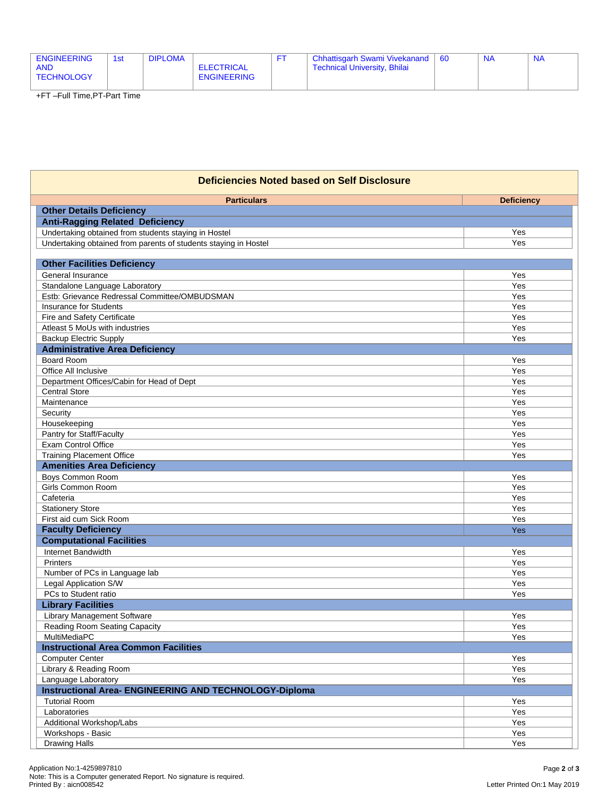| <b>ENGINEERING</b><br><b>AND</b><br>TECHNOLOGY | 1 <sub>st</sub> | <b>DIPLOMA</b> | ELECTRICAL<br><b>ENGINEERING</b> |  | <b>Chhattisgarh Swami Vivekanand</b><br><b>Technical University, Bhilai</b> | 60 |  | <b>NA</b> |
|------------------------------------------------|-----------------|----------------|----------------------------------|--|-----------------------------------------------------------------------------|----|--|-----------|
|------------------------------------------------|-----------------|----------------|----------------------------------|--|-----------------------------------------------------------------------------|----|--|-----------|

+FT –Full Time,PT-Part Time

| <b>Deficiencies Noted based on Self Disclosure</b>              |                   |  |  |  |  |
|-----------------------------------------------------------------|-------------------|--|--|--|--|
| <b>Particulars</b>                                              | <b>Deficiency</b> |  |  |  |  |
| <b>Other Details Deficiency</b>                                 |                   |  |  |  |  |
| <b>Anti-Ragging Related Deficiency</b>                          |                   |  |  |  |  |
| Undertaking obtained from students staying in Hostel            | Yes               |  |  |  |  |
| Undertaking obtained from parents of students staying in Hostel | Yes               |  |  |  |  |
|                                                                 |                   |  |  |  |  |
| <b>Other Facilities Deficiency</b>                              |                   |  |  |  |  |
| General Insurance                                               | Yes               |  |  |  |  |
| Standalone Language Laboratory                                  | Yes               |  |  |  |  |
| Estb: Grievance Redressal Committee/OMBUDSMAN                   | Yes               |  |  |  |  |
| <b>Insurance for Students</b>                                   | Yes               |  |  |  |  |
| Fire and Safety Certificate                                     | Yes               |  |  |  |  |
| Atleast 5 MoUs with industries                                  | Yes               |  |  |  |  |
| <b>Backup Electric Supply</b>                                   | Yes               |  |  |  |  |
| <b>Administrative Area Deficiency</b>                           |                   |  |  |  |  |
| Board Room                                                      | Yes               |  |  |  |  |
| Office All Inclusive                                            | Yes               |  |  |  |  |
| Department Offices/Cabin for Head of Dept                       | Yes               |  |  |  |  |
| <b>Central Store</b>                                            | Yes               |  |  |  |  |
| Maintenance                                                     | Yes               |  |  |  |  |
| Security                                                        | Yes               |  |  |  |  |
| Housekeeping                                                    | Yes               |  |  |  |  |
| Pantry for Staff/Faculty                                        | Yes               |  |  |  |  |
| Exam Control Office                                             | Yes               |  |  |  |  |
| <b>Training Placement Office</b>                                | Yes               |  |  |  |  |
| <b>Amenities Area Deficiency</b>                                |                   |  |  |  |  |
| <b>Boys Common Room</b>                                         | Yes               |  |  |  |  |
| <b>Girls Common Room</b>                                        | Yes               |  |  |  |  |
| Cafeteria                                                       | Yes               |  |  |  |  |
| <b>Stationery Store</b>                                         | Yes               |  |  |  |  |
| First aid cum Sick Room                                         | Yes               |  |  |  |  |
| <b>Faculty Deficiency</b>                                       | Yes               |  |  |  |  |
| <b>Computational Facilities</b>                                 |                   |  |  |  |  |
| <b>Internet Bandwidth</b>                                       | Yes               |  |  |  |  |
| <b>Printers</b>                                                 | Yes               |  |  |  |  |
| Number of PCs in Language lab                                   | Yes               |  |  |  |  |
| Legal Application S/W                                           | Yes               |  |  |  |  |
| PCs to Student ratio                                            | Yes               |  |  |  |  |
| <b>Library Facilities</b>                                       |                   |  |  |  |  |
| <b>Library Management Software</b>                              | Yes               |  |  |  |  |
| Reading Room Seating Capacity                                   | Yes               |  |  |  |  |
| MultiMediaPC                                                    | Yes               |  |  |  |  |
| <b>Instructional Area Common Facilities</b>                     |                   |  |  |  |  |
| <b>Computer Center</b>                                          | Yes               |  |  |  |  |
| Library & Reading Room                                          | Yes               |  |  |  |  |
| Language Laboratory                                             | Yes               |  |  |  |  |
| <b>Instructional Area- ENGINEERING AND TECHNOLOGY-Diploma</b>   |                   |  |  |  |  |
| <b>Tutorial Room</b>                                            | Yes               |  |  |  |  |
| Laboratories                                                    | Yes               |  |  |  |  |
| Additional Workshop/Labs                                        | Yes               |  |  |  |  |
| Workshops - Basic                                               | Yes               |  |  |  |  |
| <b>Drawing Halls</b>                                            | Yes               |  |  |  |  |